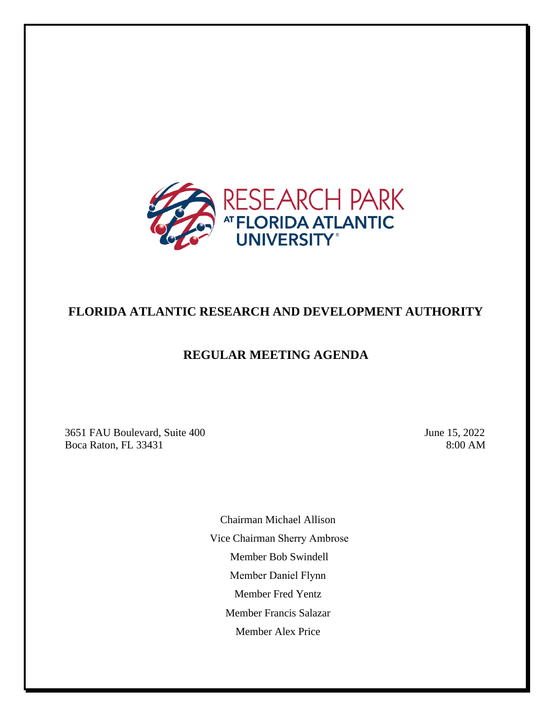

# **FLORIDA ATLANTIC RESEARCH AND DEVELOPMENT AUTHORITY**

## **REGULAR MEETING AGENDA**

3651 FAU Boulevard, Suite 400 June 15, 2022 Boca Raton, FL 33431 8:00 AM

Chairman Michael Allison Vice Chairman Sherry Ambrose Member Bob Swindell Member Daniel Flynn Member Fred Yentz Member Francis Salazar Member Alex Price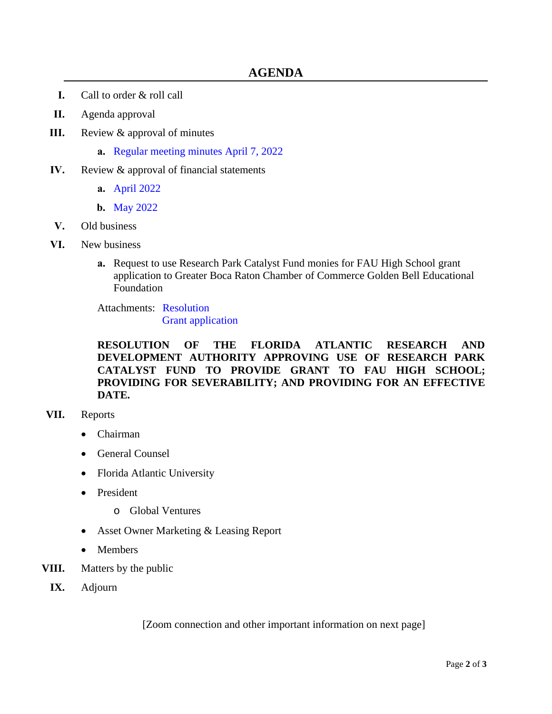- **I.** Call to order & roll call
- **II.** Agenda approval
- **III.** Review & approval of minutes
	- **a.** [Regular meeting minutes April 7, 2022](https://www.research-park.org/files/13ecb01ad/3a+-+2022-04-07+DRAFT+Authority+Meeting+Minutes.pdf)
- **IV.** Review & approval of financial statements
	- **a.** [April 2022](https://www.research-park.org/files/a1710dc29/4a+-+April+Financial+Statements+FARDA.pdf)
	- **b.** [May 2022](https://www.research-park.org/files/9a3fffd40/4b+-+May+Financial+Statements.pdf)
- **V.** Old business
- **VI.** New business
	- **a.** Request to use Research Park Catalyst Fund monies for FAU High School grant application to Greater Boca Raton Chamber of Commerce Golden Bell Educational Foundation

Attachments: [Resolution](https://www.research-park.org/files/afd7d9810/6a+-+RESO+Use+of+Catalyst+Fund.pdf) [Grant application](https://www.research-park.org/files/a3c1099e9/6a+-+zFAU+High+-+Experiental+Lab+Program.pdf)

**RESOLUTION OF THE FLORIDA ATLANTIC RESEARCH AND DEVELOPMENT AUTHORITY APPROVING USE OF RESEARCH PARK CATALYST FUND TO PROVIDE GRANT TO FAU HIGH SCHOOL; PROVIDING FOR SEVERABILITY; AND PROVIDING FOR AN EFFECTIVE DATE.**

#### **VII.** Reports

- Chairman
- General Counsel
- Florida Atlantic University
- President
	- o Global Ventures
- Asset Owner Marketing & Leasing Report
- Members
- **VIII.** Matters by the public
- **IX.** Adjourn

[Zoom connection and other important information on next page]